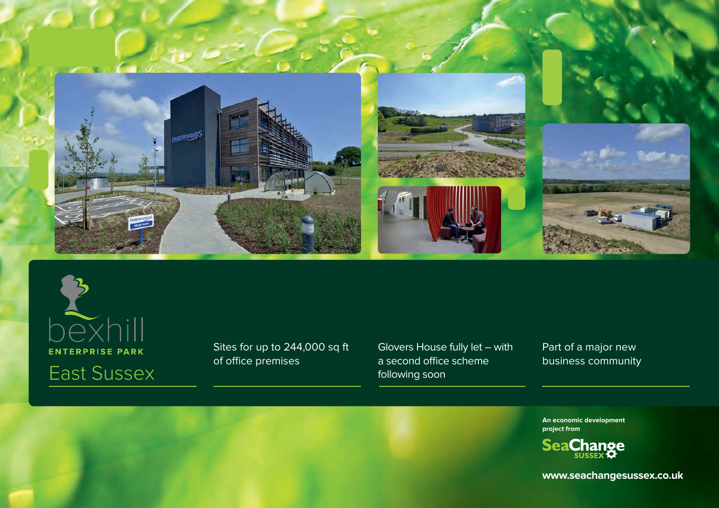



Sites for up to 244,000 sq ft of office premises

Glovers House fully let – with a second office scheme following soon

Part of a major new business community

**An economic development project from**



**www.seachangesussex.co.uk**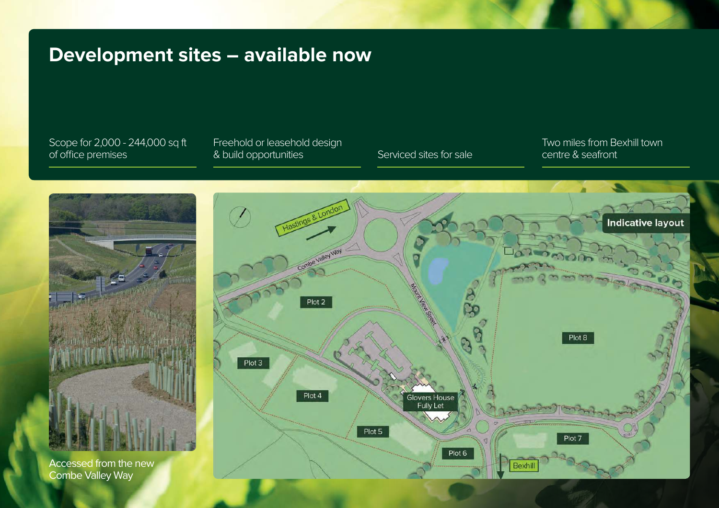### **Development sites – available now**

Scope for 2,000 - 244,000 sq ft of office premises

#### Freehold or leasehold design & build opportunities Serviced sites for sale

Two miles from Bexhill town centre & seafront

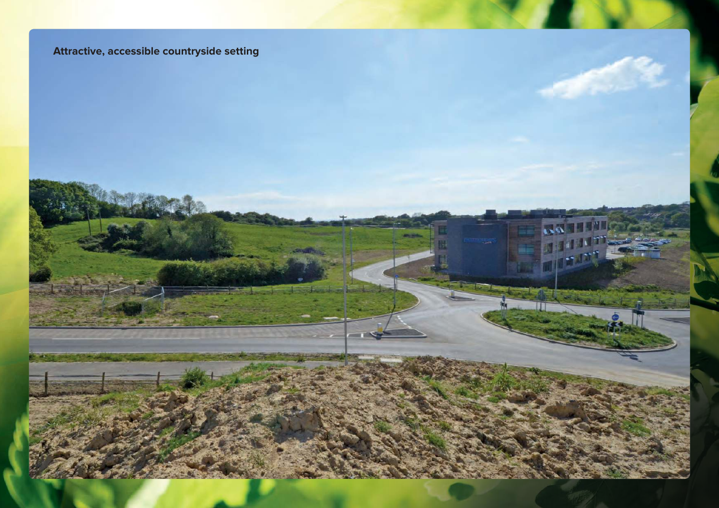### **Attractive, accessible countryside setting**

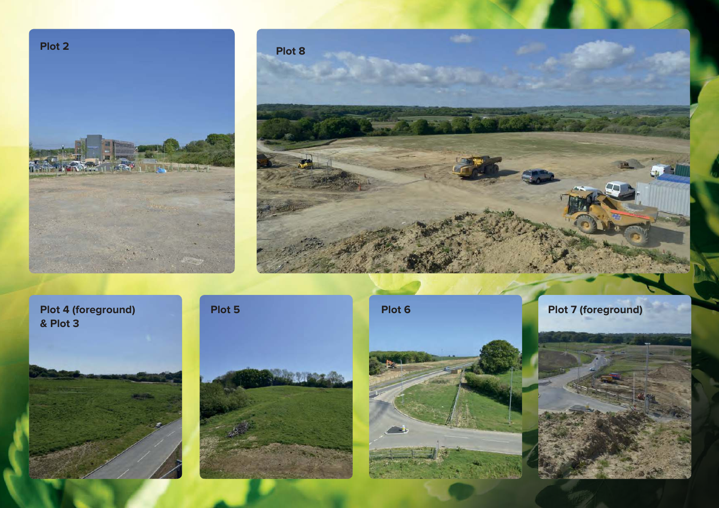



**& Plot 3**









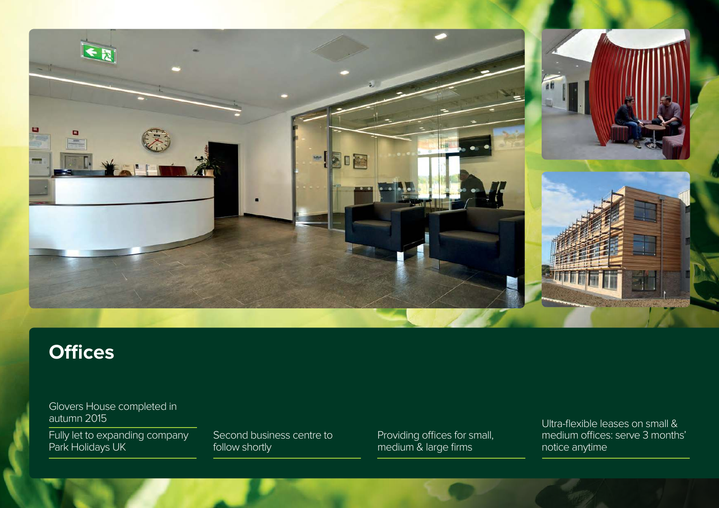

## **Offices**

Glovers House completed in autumn 2015

Fully let to expanding company Park Holidays UK

Second business centre to follow shortly

Providing offices for small, medium & large firms

Ultra-flexible leases on small & medium offices: serve 3 months' notice anytime